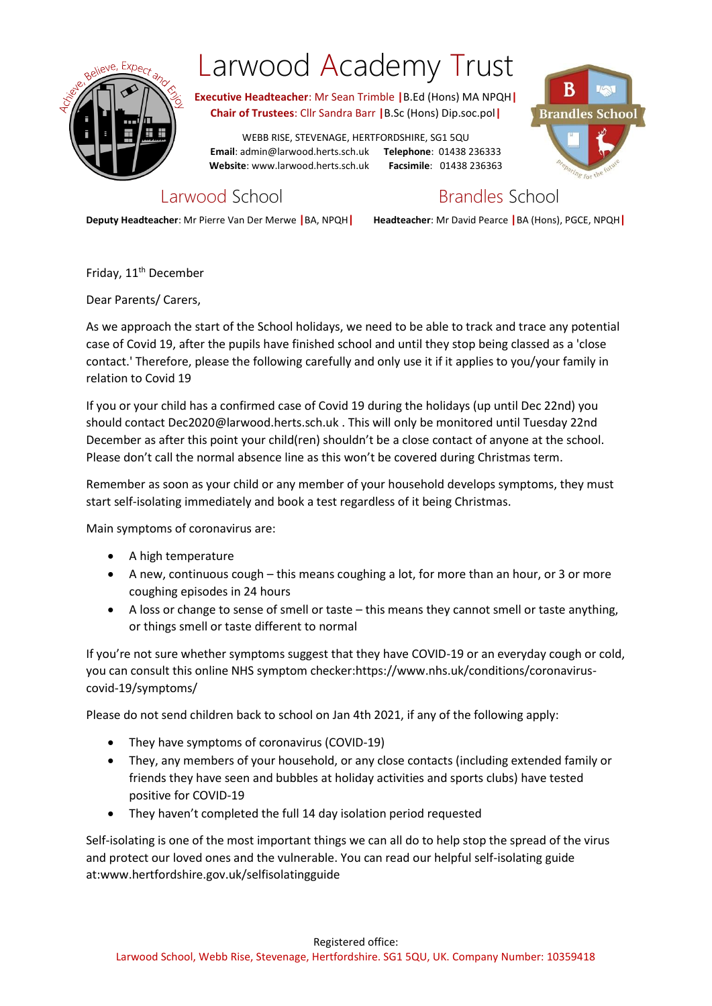

## Larwood Academy Trust

**Executive Headteacher**: Mr Sean Trimble **|**B.Ed (Hons) MA NPQH**| Chair of Trustees**: Cllr Sandra Barr **|**B.Sc (Hons) Dip.soc.pol**|**

WEBB RISE, STEVENAGE, HERTFORDSHIRE, SG1 5QU **Email**: admin@larwood.herts.sch.uk **Telephone**: 01438 236333 **Website**: www.larwood.herts.sch.uk **Facsimile**: 01438 236363



Larwood School **Brandles** School

**Deputy Headteacher**: Mr Pierre Van Der Merwe **|**BA, NPQH**| Headteacher**: Mr David Pearce **|**BA (Hons), PGCE, NPQH**|**

Friday, 11<sup>th</sup> December

Dear Parents/ Carers,

As we approach the start of the School holidays, we need to be able to track and trace any potential case of Covid 19, after the pupils have finished school and until they stop being classed as a 'close contact.' Therefore, please the following carefully and only use it if it applies to you/your family in relation to Covid 19

If you or your child has a confirmed case of Covid 19 during the holidays (up until Dec 22nd) you should contact Dec2020@larwood.herts.sch.uk . This will only be monitored until Tuesday 22nd December as after this point your child(ren) shouldn't be a close contact of anyone at the school. Please don't call the normal absence line as this won't be covered during Christmas term.

Remember as soon as your child or any member of your household develops symptoms, they must start self-isolating immediately and book a test regardless of it being Christmas.

Main symptoms of coronavirus are:

- A high temperature
- A new, continuous cough this means coughing a lot, for more than an hour, or 3 or more coughing episodes in 24 hours
- A loss or change to sense of smell or taste this means they cannot smell or taste anything, or things smell or taste different to normal

If you're not sure whether symptoms suggest that they have COVID-19 or an everyday cough or cold, you can consult this online NHS symptom checker:https://www.nhs.uk/conditions/coronaviruscovid-19/symptoms/

Please do not send children back to school on Jan 4th 2021, if any of the following apply:

- They have symptoms of coronavirus (COVID-19)
- They, any members of your household, or any close contacts (including extended family or friends they have seen and bubbles at holiday activities and sports clubs) have tested positive for COVID-19
- They haven't completed the full 14 day isolation period requested

Self-isolating is one of the most important things we can all do to help stop the spread of the virus and protect our loved ones and the vulnerable. You can read our helpful self-isolating guide at:www.hertfordshire.gov.uk/selfisolatingguide